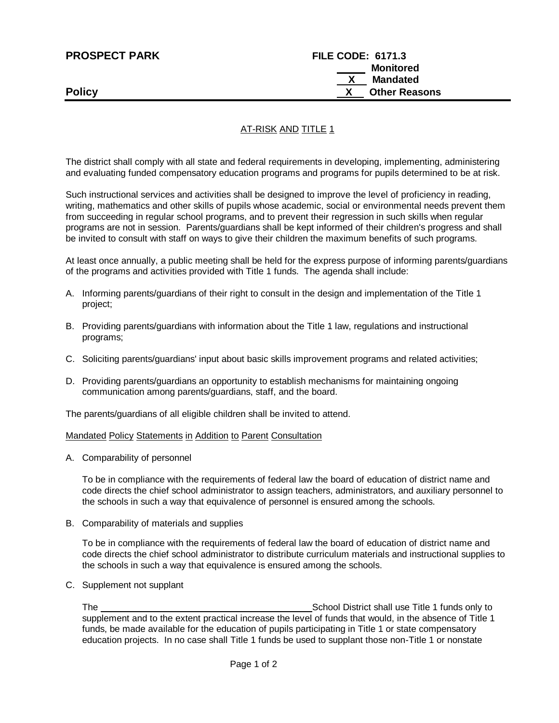| <b>PROSPECT PARK</b> | <b>FILE CODE: 6171.3</b> |
|----------------------|--------------------------|
|                      | Monitored                |
|                      | $\mathsf{X}$<br>Mandated |
| <b>Policy</b>        | <b>Other Reasons</b>     |

# AT-RISK AND TITLE 1

The district shall comply with all state and federal requirements in developing, implementing, administering and evaluating funded compensatory education programs and programs for pupils determined to be at risk.

Such instructional services and activities shall be designed to improve the level of proficiency in reading, writing, mathematics and other skills of pupils whose academic, social or environmental needs prevent them from succeeding in regular school programs, and to prevent their regression in such skills when regular programs are not in session. Parents/guardians shall be kept informed of their children's progress and shall be invited to consult with staff on ways to give their children the maximum benefits of such programs.

At least once annually, a public meeting shall be held for the express purpose of informing parents/guardians of the programs and activities provided with Title 1 funds. The agenda shall include:

- A. Informing parents/guardians of their right to consult in the design and implementation of the Title 1 project;
- B. Providing parents/guardians with information about the Title 1 law, regulations and instructional programs;
- C. Soliciting parents/guardians' input about basic skills improvement programs and related activities;
- D. Providing parents/guardians an opportunity to establish mechanisms for maintaining ongoing communication among parents/guardians, staff, and the board.

The parents/guardians of all eligible children shall be invited to attend.

#### Mandated Policy Statements in Addition to Parent Consultation

A. Comparability of personnel

To be in compliance with the requirements of federal law the board of education of district name and code directs the chief school administrator to assign teachers, administrators, and auxiliary personnel to the schools in such a way that equivalence of personnel is ensured among the schools.

B. Comparability of materials and supplies

To be in compliance with the requirements of federal law the board of education of district name and code directs the chief school administrator to distribute curriculum materials and instructional supplies to the schools in such a way that equivalence is ensured among the schools.

C. Supplement not supplant

The School District shall use Title 1 funds only to serve the School District shall use Title 1 funds only to supplement and to the extent practical increase the level of funds that would, in the absence of Title 1 funds, be made available for the education of pupils participating in Title 1 or state compensatory education projects. In no case shall Title 1 funds be used to supplant those non-Title 1 or nonstate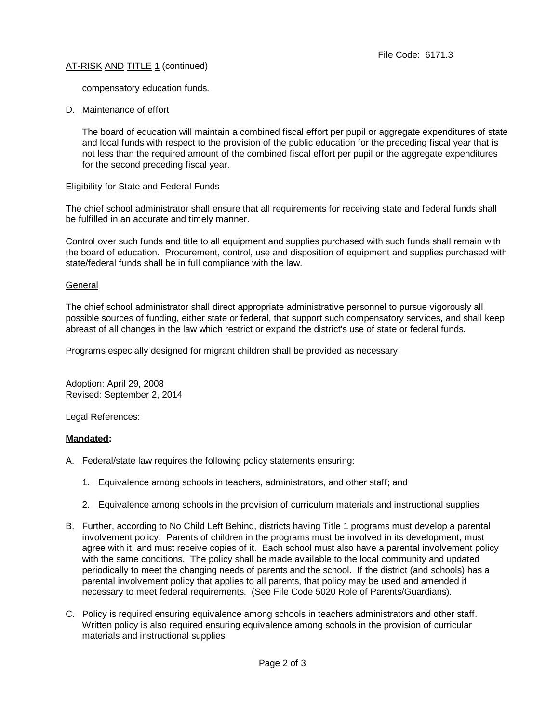## AT-RISK AND TITLE 1 (continued)

compensatory education funds.

D. Maintenance of effort

The board of education will maintain a combined fiscal effort per pupil or aggregate expenditures of state and local funds with respect to the provision of the public education for the preceding fiscal year that is not less than the required amount of the combined fiscal effort per pupil or the aggregate expenditures for the second preceding fiscal year.

#### Eligibility for State and Federal Funds

The chief school administrator shall ensure that all requirements for receiving state and federal funds shall be fulfilled in an accurate and timely manner.

Control over such funds and title to all equipment and supplies purchased with such funds shall remain with the board of education. Procurement, control, use and disposition of equipment and supplies purchased with state/federal funds shall be in full compliance with the law.

#### **General**

The chief school administrator shall direct appropriate administrative personnel to pursue vigorously all possible sources of funding, either state or federal, that support such compensatory services, and shall keep abreast of all changes in the law which restrict or expand the district's use of state or federal funds.

Programs especially designed for migrant children shall be provided as necessary.

Adoption: April 29, 2008 Revised: September 2, 2014

Legal References:

## **Mandated:**

- A. Federal/state law requires the following policy statements ensuring:
	- 1. Equivalence among schools in teachers, administrators, and other staff; and
	- 2. Equivalence among schools in the provision of curriculum materials and instructional supplies
- B. Further, according to No Child Left Behind, districts having Title 1 programs must develop a parental involvement policy. Parents of children in the programs must be involved in its development, must agree with it, and must receive copies of it. Each school must also have a parental involvement policy with the same conditions. The policy shall be made available to the local community and updated periodically to meet the changing needs of parents and the school. If the district (and schools) has a parental involvement policy that applies to all parents, that policy may be used and amended if necessary to meet federal requirements. (See File Code 5020 Role of Parents/Guardians).
- C. Policy is required ensuring equivalence among schools in teachers administrators and other staff. Written policy is also required ensuring equivalence among schools in the provision of curricular materials and instructional supplies.